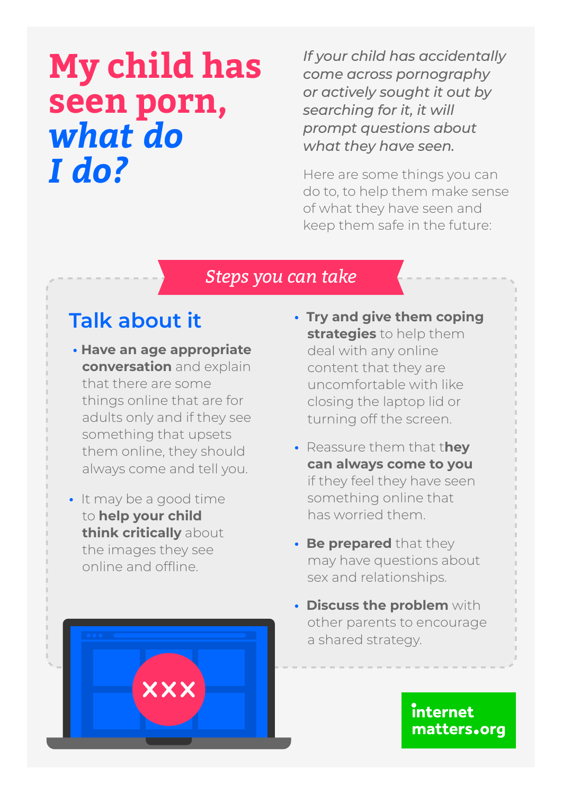# **My child has seen porn,**  *what do I do?*

*If your child has accidentally come across pornography or actively sought it out by searching for it, it will prompt questions about what they have seen.* 

Here are some things you can do to, to help them make sense of what they have seen and keep them safe in the future:

#### *Steps you can take*

## **Talk about it**

- **Have an age appropriate conversation** and explain that there are some things online that are for adults only and if they see something that upsets them online, they should always come and tell you.
- It may be a good time to **help your child think critically** about the images they see online and offline.

**XXX** 

- **Try and give them coping strategies** to help them deal with any online content that they are uncomfortable with like closing the laptop lid or turning off the screen.
- Reassure them that t**hey can always come to you** if they feel they have seen something online that has worried them.
- **Be prepared** that they may have questions about sex and relationships.
- **Discuss the problem** with other parents to encourage a shared strategy.

internet matters.org